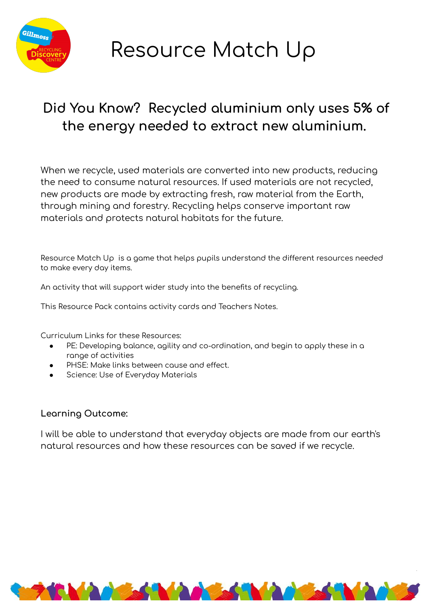

## Resource Match Up

## Did You Know? Recycled aluminium only uses 5% of the energy needed to extract new aluminium.

When we recycle, used materials are converted into new products, reducing the need to consume natural resources. If used materials are not recycled, new products are made by extracting fresh, raw material from the Earth, through mining and forestry. Recycling helps conserve important raw materials and protects natural habitats for the future.

Resource Match Up is a game that helps pupils understand the different resources needed to make every day items.

An activity that will support wider study into the benefits of recycling.

This Resource Pack contains activity cards and Teachers Notes.

Curriculum Links for these Resources:

- PE: Developing balance, agility and co-ordination, and begin to apply these in a range of activities
- PHSE: Make links between cause and effect.
- Science: Use of Everyday Materials

## Learning Outcome:

I will be able to understand that everyday objects are made from our earth's natural resources and how these resources can be saved if we recycle.